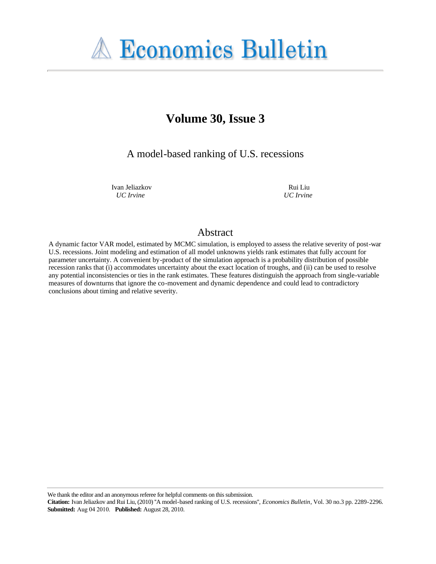# **A Economics Bulletin**

# **Volume 30, Issue 3**

A model-based ranking of U.S. recessions

Ivan Jeliazkov *UC Irvine*

Rui Liu *UC Irvine*

#### Abstract

A dynamic factor VAR model, estimated by MCMC simulation, is employed to assess the relative severity of post-war U.S. recessions. Joint modeling and estimation of all model unknowns yields rank estimates that fully account for parameter uncertainty. A convenient by-product of the simulation approach is a probability distribution of possible recession ranks that (i) accommodates uncertainty about the exact location of troughs, and (ii) can be used to resolve any potential inconsistencies or ties in the rank estimates. These features distinguish the approach from single-variable measures of downturns that ignore the co-movement and dynamic dependence and could lead to contradictory conclusions about timing and relative severity.

We thank the editor and an anonymous referee for helpful comments on this submission.

**Citation:** Ivan Jeliazkov and Rui Liu, (2010) ''A model-based ranking of U.S. recessions'', *Economics Bulletin*, Vol. 30 no.3 pp. 2289-2296. **Submitted:** Aug 04 2010. **Published:** August 28, 2010.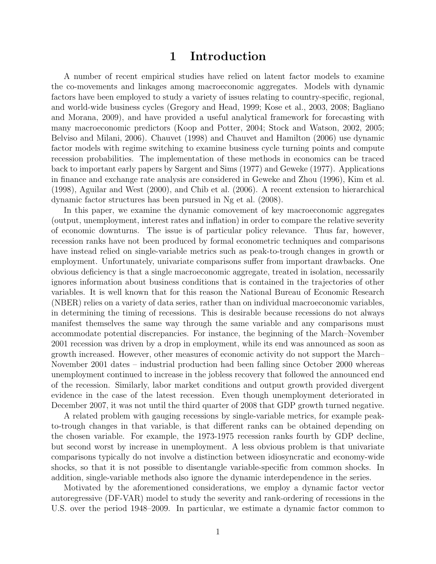## 1 Introduction

A number of recent empirical studies have relied on latent factor models to examine the co-movements and linkages among macroeconomic aggregates. Models with dynamic factors have been employed to study a variety of issues relating to country-specific, regional, and world-wide business cycles (Gregory and Head, 1999; Kose et al., 2003, 2008; Bagliano and Morana, 2009), and have provided a useful analytical framework for forecasting with many macroeconomic predictors (Koop and Potter, 2004; Stock and Watson, 2002, 2005; Belviso and Milani, 2006). Chauvet (1998) and Chauvet and Hamilton (2006) use dynamic factor models with regime switching to examine business cycle turning points and compute recession probabilities. The implementation of these methods in economics can be traced back to important early papers by Sargent and Sims (1977) and Geweke (1977). Applications in finance and exchange rate analysis are considered in Geweke and Zhou (1996), Kim et al. (1998), Aguilar and West (2000), and Chib et al. (2006). A recent extension to hierarchical dynamic factor structures has been pursued in Ng et al. (2008).

In this paper, we examine the dynamic comovement of key macroeconomic aggregates (output, unemployment, interest rates and inflation) in order to compare the relative severity of economic downturns. The issue is of particular policy relevance. Thus far, however, recession ranks have not been produced by formal econometric techniques and comparisons have instead relied on single-variable metrics such as peak-to-trough changes in growth or employment. Unfortunately, univariate comparisons suffer from important drawbacks. One obvious deficiency is that a single macroeconomic aggregate, treated in isolation, necessarily ignores information about business conditions that is contained in the trajectories of other variables. It is well known that for this reason the National Bureau of Economic Research (NBER) relies on a variety of data series, rather than on individual macroeconomic variables, in determining the timing of recessions. This is desirable because recessions do not always manifest themselves the same way through the same variable and any comparisons must accommodate potential discrepancies. For instance, the beginning of the March–November 2001 recession was driven by a drop in employment, while its end was announced as soon as growth increased. However, other measures of economic activity do not support the March– November 2001 dates – industrial production had been falling since October 2000 whereas unemployment continued to increase in the jobless recovery that followed the announced end of the recession. Similarly, labor market conditions and output growth provided divergent evidence in the case of the latest recession. Even though unemployment deteriorated in December 2007, it was not until the third quarter of 2008 that GDP growth turned negative.

A related problem with gauging recessions by single-variable metrics, for example peakto-trough changes in that variable, is that different ranks can be obtained depending on the chosen variable. For example, the 1973-1975 recession ranks fourth by GDP decline, but second worst by increase in unemployment. A less obvious problem is that univariate comparisons typically do not involve a distinction between idiosyncratic and economy-wide shocks, so that it is not possible to disentangle variable-specific from common shocks. In addition, single-variable methods also ignore the dynamic interdependence in the series.

Motivated by the aforementioned considerations, we employ a dynamic factor vector autoregressive (DF-VAR) model to study the severity and rank-ordering of recessions in the U.S. over the period 1948–2009. In particular, we estimate a dynamic factor common to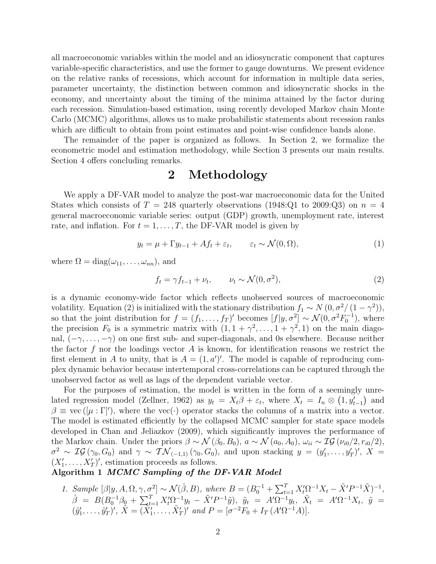all macroeconomic variables within the model and an idiosyncratic component that captures variable-specific characteristics, and use the former to gauge downturns. We present evidence on the relative ranks of recessions, which account for information in multiple data series, parameter uncertainty, the distinction between common and idiosyncratic shocks in the economy, and uncertainty about the timing of the minima attained by the factor during each recession. Simulation-based estimation, using recently developed Markov chain Monte Carlo (MCMC) algorithms, allows us to make probabilistic statements about recession ranks which are difficult to obtain from point estimates and point-wise confidence bands alone.

The remainder of the paper is organized as follows. In Section 2, we formalize the econometric model and estimation methodology, while Section 3 presents our main results. Section 4 offers concluding remarks.

# 2 Methodology

We apply a DF-VAR model to analyze the post-war macroeconomic data for the United States which consists of  $T = 248$  quarterly observations (1948:Q1 to 2009:Q3) on  $n = 4$ general macroeconomic variable series: output (GDP) growth, unemployment rate, interest rate, and inflation. For  $t = 1, \ldots, T$ , the DF-VAR model is given by

$$
y_t = \mu + \Gamma y_{t-1} + Af_t + \varepsilon_t, \qquad \varepsilon_t \sim \mathcal{N}(0, \Omega), \tag{1}
$$

where  $\Omega = \text{diag}(\omega_{11}, \dots, \omega_{nn}),$  and

$$
f_t = \gamma f_{t-1} + \nu_t, \qquad \nu_t \sim \mathcal{N}(0, \sigma^2), \tag{2}
$$

is a dynamic economy-wide factor which reflects unobserved sources of macroeconomic volatility. Equation (2) is initialized with the stationary distribution  $f_1 \sim N(0, \sigma^2/(1-\gamma^2)),$ so that the joint distribution for  $f = (f_1, \ldots, f_T)'$  becomes  $[f|y, \sigma^2] \sim \mathcal{N}(0, \sigma^2 F_0^{-1})$ , where the precision  $F_0$  is a symmetric matrix with  $(1, 1 + \gamma^2, \ldots, 1 + \gamma^2, 1)$  on the main diagonal,  $(-\gamma, \ldots, -\gamma)$  on one first sub- and super-diagonals, and 0s elsewhere. Because neither the factor f nor the loadings vector A is known, for identification reasons we restrict the first element in A to unity, that is  $A = (1, a')'$ . The model is capable of reproducing complex dynamic behavior because intertemporal cross-correlations can be captured through the unobserved factor as well as lags of the dependent variable vector.

For the purposes of estimation, the model is written in the form of a seemingly unrelated regression model (Zellner, 1962) as  $y_t = X_t \beta + \varepsilon_t$ , where  $X_t = I_n \otimes (1, y'_{t-1})$  and  $\beta \equiv \text{vec}\left( [\mu : \Gamma'] \right)$ , where the vec(·) operator stacks the columns of a matrix into a vector. The model is estimated efficiently by the collapsed MCMC sampler for state space models developed in Chan and Jeliazkov (2009), which significantly improves the performance of the Markov chain. Under the priors  $\beta \sim \mathcal{N}(\beta_0, B_0)$ ,  $a \sim \mathcal{N}(a_0, A_0)$ ,  $\omega_{ii} \sim \mathcal{IG}(\nu_{i0}/2, r_{i0}/2)$ ,  $\sigma^2 \sim \mathcal{IG}(\gamma_0, G_0)$  and  $\gamma \sim \mathcal{TN}_{(-1,1)}(\gamma_0, G_0)$ , and upon stacking  $y = (y'_1, \ldots, y'_T)'$ ,  $X =$  $(X'_1, \ldots, X'_T)'$ , estimation proceeds as follows.

#### Algorithm 1 MCMC Sampling of the DF-VAR Model

1. Sample  $[\beta|y, A, \Omega, \gamma, \sigma^2] \sim \mathcal{N}(\hat{\beta}, B)$ , where  $B = (B_0^{-1} +$  $\sum_{t=1}^{T} X_t' \Omega^{-1} X_t - \tilde{X}' P^{-1} \tilde{X} )^{-1},$  $\hat{\beta} = B(B_0^{-1}\beta_0 +$  $\sum_{t=1}^{T} X_t' \Omega_{-}^{-1} y_t - \tilde{X}'P^{-1} \tilde{y}$ ,  $\tilde{y}_t = A' \Omega_{-}^{-1} y_t$ ,  $\tilde{X}_t = A' \Omega_{-}^{-1} X_t$ ,  $\tilde{y} =$  $(\tilde{y}'_1, \ldots, \tilde{y}'_T)'$ ,  $\tilde{X} = (\tilde{X}'_1, \ldots, \tilde{X}'_T)'$  and  $P = [\sigma^{-2}F_0 + I_T(A'\Omega^{-1}A)].$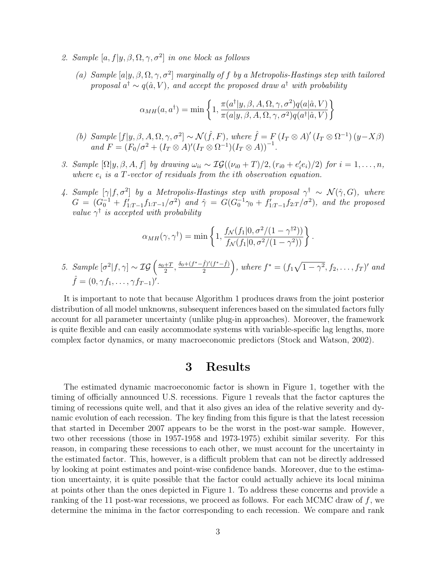- 2. Sample  $[a, f | y, \beta, \Omega, \gamma, \sigma^2]$  in one block as follows
	- (a) Sample  $[a|y, \beta, \Omega, \gamma, \sigma^2]$  marginally of f by a Metropolis-Hastings step with tailored proposal  $a^{\dagger} \sim q(\hat{a}, V)$ , and accept the proposed draw  $a^{\dagger}$  with probability

$$
\alpha_{MH}(a, a^{\dagger}) = \min \left\{ 1, \frac{\pi(a^{\dagger}|y, \beta, A, \Omega, \gamma, \sigma^2) q(a|\hat{a}, V)}{\pi(a|y, \beta, A, \Omega, \gamma, \sigma^2) q(a^{\dagger}|\hat{a}, V)} \right\}
$$

- (b) Sample  $[f|y, \beta, A, \Omega, \gamma, \sigma^2] \sim \mathcal{N}(\hat{f}, F)$ , where  $\hat{f} = F(I_T \otimes A)'(I_T \otimes \Omega^{-1})(y X\beta)$ and  $F = (F_0/\sigma^2 + (I_T \otimes A)'(I_T \otimes \Omega^{-1})(I_T \otimes A))^{-1}$ .
- 3. Sample  $[\Omega | y, \beta, A, f]$  by drawing  $\omega_{ii} \sim \mathcal{IG}((\nu_{i0} + T)/2, (r_{i0} + e'_i e_i)/2)$  for  $i = 1, ..., n$ , where  $e_i$  is a T-vector of residuals from the ith observation equation.
- 4. Sample  $[\gamma | f, \sigma^2]$  by a Metropolis-Hastings step with proposal  $\gamma^{\dagger} \sim \mathcal{N}(\hat{\gamma}, G)$ , where  $G = (G_0^{-1} + f'_{1:T-1}f_{1:T-1}/\sigma^2)$  and  $\hat{\gamma} = G(G_0^{-1}\gamma_0 + f'_{1:T-1}f_{2:T}/\sigma^2)$ , and the proposed value  $\gamma^{\dagger}$  is accepted with probability

$$
\alpha_{MH}(\gamma, \gamma^{\dagger}) = \min \left\{ 1, \frac{f_{\mathcal{N}}(f_1|0, \sigma^2/(1-\gamma^{\dagger 2}))}{f_{\mathcal{N}}(f_1|0, \sigma^2/(1-\gamma^2))} \right\}.
$$

5. Sample 
$$
[\sigma^2 | f, \gamma] \sim \mathcal{IG}\left(\frac{s_0 + T}{2}, \frac{\delta_0 + (f^* - \hat{f})'(f^* - \hat{f})}{2}\right)
$$
, where  $f^* = (f_1\sqrt{1 - \gamma^2}, f_2, \dots, f_T)'$  and  $\hat{f} = (0, \gamma f_1, \dots, \gamma f_{T-1})'$ .

It is important to note that because Algorithm 1 produces draws from the joint posterior distribution of all model unknowns, subsequent inferences based on the simulated factors fully account for all parameter uncertainty (unlike plug-in approaches). Moreover, the framework is quite flexible and can easily accommodate systems with variable-specific lag lengths, more complex factor dynamics, or many macroeconomic predictors (Stock and Watson, 2002).

## 3 Results

The estimated dynamic macroeconomic factor is shown in Figure 1, together with the timing of officially announced U.S. recessions. Figure 1 reveals that the factor captures the timing of recessions quite well, and that it also gives an idea of the relative severity and dynamic evolution of each recession. The key finding from this figure is that the latest recession that started in December 2007 appears to be the worst in the post-war sample. However, two other recessions (those in 1957-1958 and 1973-1975) exhibit similar severity. For this reason, in comparing these recessions to each other, we must account for the uncertainty in the estimated factor. This, however, is a difficult problem that can not be directly addressed by looking at point estimates and point-wise confidence bands. Moreover, due to the estimation uncertainty, it is quite possible that the factor could actually achieve its local minima at points other than the ones depicted in Figure 1. To address these concerns and provide a ranking of the 11 post-war recessions, we proceed as follows. For each MCMC draw of  $f$ , we determine the minima in the factor corresponding to each recession. We compare and rank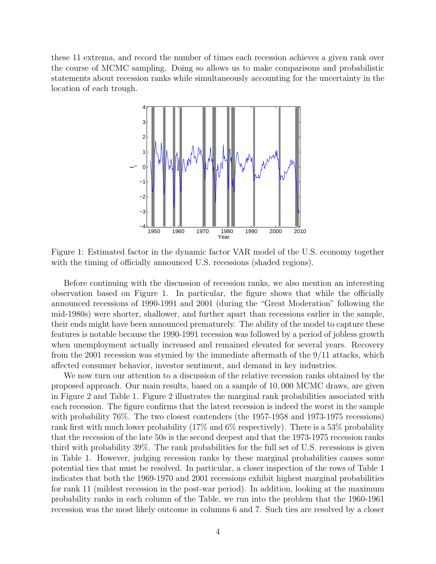these 11 extrema, and record the number of times each recession achieves a given rank over the course of MCMC sampling. Doing so allows us to make comparisons and probabilistic statements about recession ranks while simultaneously accounting for the uncertainty in the location of each trough.



Figure 1: Estimated factor in the dynamic factor VAR model of the U.S. economy together with the timing of officially announced U.S. recessions (shaded regions).

Before continuing with the discussion of recession ranks, we also mention an interesting observation based on Figure 1. In particular, the figure shows that while the officially announced recessions of 1990-1991 and 2001 (during the "Great Moderation" following the mid-1980s) were shorter, shallower, and further apart than recessions earlier in the sample, their ends might have been announced prematurely. The ability of the model to capture these features is notable because the 1990-1991 recession was followed by a period of jobless growth when unemployment actually increased and remained elevated for several years. Recovery from the 2001 recession was stymied by the immediate aftermath of the 9/11 attacks, which affected consumer behavior, investor sentiment, and demand in key industries.

We now turn our attention to a discussion of the relative recession ranks obtained by the proposed approach. Our main results, based on a sample of 10, 000 MCMC draws, are given in Figure 2 and Table 1. Figure 2 illustrates the marginal rank probabilities associated with each recession. The figure confirms that the latest recession is indeed the worst in the sample with probability 76%. The two closest contenders (the 1957-1958 and 1973-1975 recessions) rank first with much lower probability (17% and 6% respectively). There is a 53% probability that the recession of the late 50s is the second deepest and that the 1973-1975 recession ranks third with probability 39%. The rank probabilities for the full set of U.S. recessions is given in Table 1. However, judging recession ranks by these marginal probabilities causes some potential ties that must be resolved. In particular, a closer inspection of the rows of Table 1 indicates that both the 1969-1970 and 2001 recessions exhibit highest marginal probabilities for rank 11 (mildest recession in the post-war period). In addition, looking at the maximum probability ranks in each column of the Table, we run into the problem that the 1960-1961 recession was the most likely outcome in columns 6 and 7. Such ties are resolved by a closer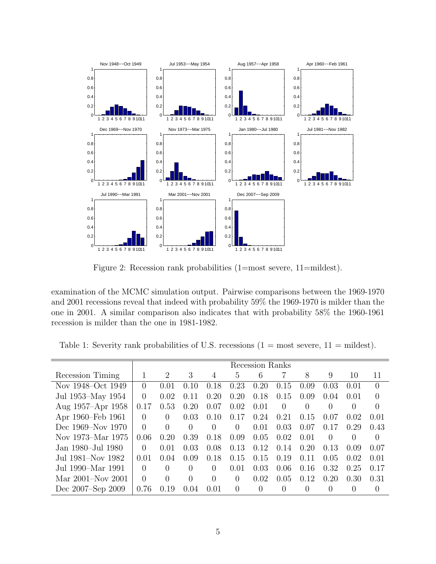

Figure 2: Recession rank probabilities (1=most severe, 11=mildest).

examination of the MCMC simulation output. Pairwise comparisons between the 1969-1970 and 2001 recessions reveal that indeed with probability 59% the 1969-1970 is milder than the one in 2001. A similar comparison also indicates that with probability 58% the 1960-1961 recession is milder than the one in 1981-1982.

Table 1: Severity rank probabilities of U.S. recessions  $(1 = \text{most severe}, 11 = \text{mildest})$ .

|                   | Recession Ranks  |          |          |          |          |          |          |          |          |                  |                  |
|-------------------|------------------|----------|----------|----------|----------|----------|----------|----------|----------|------------------|------------------|
| Recession Timing  | 1                | 2        | 3        | 4        | 5        | 6        |          | 8        | 9        | 10               | 11               |
| Nov 1948–Oct 1949 | $\left( \right)$ | 0.01     | 0.10     | 0.18     | 0.23     | 0.20     | 0.15     | 0.09     | 0.03     | 0.01             | $\Omega$         |
| Jul 1953–May 1954 | $\Omega$         | 0.02     | 0.11     | 0.20     | 0.20     | 0.18     | 0.15     | 0.09     | 0.04     | 0.01             | $\Omega$         |
| Aug 1957–Apr 1958 | 0.17             | 0.53     | 0.20     | 0.07     | 0.02     | 0.01     | $\Omega$ |          | $\theta$ | 0                | $\Omega$         |
| Apr 1960–Feb 1961 | $\Omega$         | 0        | 0.03     | 0.10     | 0.17     | 0.24     | 0.21     | 0.15     | 0.07     | 0.02             | 0.01             |
| Dec 1969–Nov 1970 | $\Omega$         | $\Omega$ | $\Omega$ | $\Omega$ | $\Omega$ | 0.01     | 0.03     | 0.07     | 0.17     | 0.29             | 0.43             |
| Nov 1973–Mar 1975 | 0.06             | 0.20     | 0.39     | 0.18     | 0.09     | 0.05     | 0.02     | 0.01     | $\Omega$ | $\left( \right)$ | $\Omega$         |
| Jan 1980–Jul 1980 | 0                | 0.01     | 0.03     | 0.08     | 0.13     | 0.12     | 0.14     | 0.20     | 0.13     | 0.09             | 0.07             |
| Jul 1981–Nov 1982 | 0.01             | 0.04     | 0.09     | 0.18     | 0.15     | 0.15     | 0.19     | 0.11     | 0.05     | 0.02             | 0.01             |
| Jul 1990–Mar 1991 | $\Omega$         | $\Omega$ | 0        | 0        | 0.01     | 0.03     | 0.06     | 0.16     | 0.32     | 0.25             | 0.17             |
| Mar 2001–Nov 2001 | $\Omega$         | $\Omega$ | $\Omega$ | $\Omega$ | $\Omega$ | 0.02     | 0.05     | 0.12     | 0.20     | 0.30             | 0.31             |
| Dec 2007–Sep 2009 | 0.76             | 0.19     | 0.04     | 0.01     | $\theta$ | $\theta$ | $\Omega$ | $\Omega$ | 0        | $\left( \right)$ | $\left( \right)$ |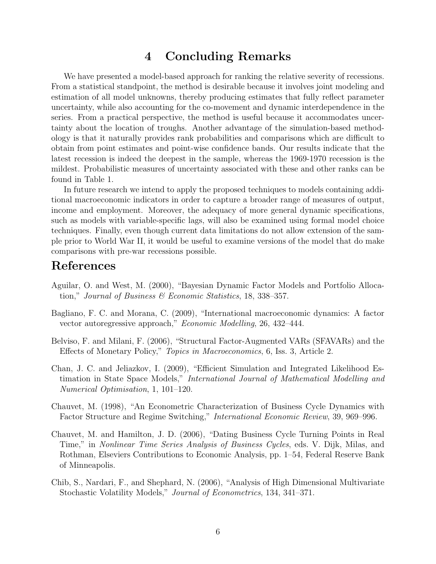# 4 Concluding Remarks

We have presented a model-based approach for ranking the relative severity of recessions. From a statistical standpoint, the method is desirable because it involves joint modeling and estimation of all model unknowns, thereby producing estimates that fully reflect parameter uncertainty, while also accounting for the co-movement and dynamic interdependence in the series. From a practical perspective, the method is useful because it accommodates uncertainty about the location of troughs. Another advantage of the simulation-based methodology is that it naturally provides rank probabilities and comparisons which are difficult to obtain from point estimates and point-wise confidence bands. Our results indicate that the latest recession is indeed the deepest in the sample, whereas the 1969-1970 recession is the mildest. Probabilistic measures of uncertainty associated with these and other ranks can be found in Table 1.

In future research we intend to apply the proposed techniques to models containing additional macroeconomic indicators in order to capture a broader range of measures of output, income and employment. Moreover, the adequacy of more general dynamic specifications, such as models with variable-specific lags, will also be examined using formal model choice techniques. Finally, even though current data limitations do not allow extension of the sample prior to World War II, it would be useful to examine versions of the model that do make comparisons with pre-war recessions possible.

#### References

- Aguilar, O. and West, M. (2000), "Bayesian Dynamic Factor Models and Portfolio Allocation," Journal of Business  $\mathcal B$  Economic Statistics, 18, 338–357.
- Bagliano, F. C. and Morana, C. (2009), "International macroeconomic dynamics: A factor vector autoregressive approach," Economic Modelling, 26, 432–444.
- Belviso, F. and Milani, F. (2006), "Structural Factor-Augmented VARs (SFAVARs) and the Effects of Monetary Policy," Topics in Macroeconomics, 6, Iss. 3, Article 2.
- Chan, J. C. and Jeliazkov, I. (2009), "Efficient Simulation and Integrated Likelihood Estimation in State Space Models," International Journal of Mathematical Modelling and Numerical Optimisation, 1, 101–120.
- Chauvet, M. (1998), "An Econometric Characterization of Business Cycle Dynamics with Factor Structure and Regime Switching," International Economic Review, 39, 969–996.
- Chauvet, M. and Hamilton, J. D. (2006), "Dating Business Cycle Turning Points in Real Time," in Nonlinear Time Series Analysis of Business Cycles, eds. V. Dijk, Milas, and Rothman, Elseviers Contributions to Economic Analysis, pp. 1–54, Federal Reserve Bank of Minneapolis.
- Chib, S., Nardari, F., and Shephard, N. (2006), "Analysis of High Dimensional Multivariate Stochastic Volatility Models," Journal of Econometrics, 134, 341–371.